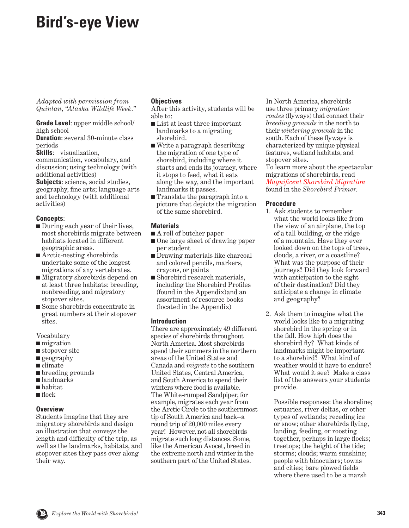# **Bird's-eye View**

*Adapted with permission from Quinlan, "Alaska Wildlife Week."*

**Grade Level**: upper middle school/ high school

**Duration**: several 30-minute class periods

**Skills**: visualization, communication, vocabulary, and discussion; using technology (with additional activities)

**Subjects**: science, social studies, geography, fine arts; language arts and technology (with additional activities)

# **Concepts**:

- During each year of their lives, most shorebirds migrate between habitats located in different geographic areas.
- Arctic-nesting shorebirds undertake some of the longest migrations of any vertebrates.
- Migratory shorebirds depend on at least three habitats: breeding, nonbreeding, and migratory stopover sites.
- Some shorebirds concentrate in great numbers at their stopover sites.

Vocabulary

- migration
- stopover site
- geography
- climate
- breeding grounds
- landmarks
- habitat
- flock

# **Overview**

Students imagine that they are migratory shorebirds and design an illustration that conveys the length and difficulty of the trip, as well as the landmarks, habitats, and stopover sites they pass over along their way.

# **Objectives**

After this activity, students will be able to:

- List at least three important landmarks to a migrating shorebird.
- Write a paragraph describing the migration of one type of shorebird, including where it starts and ends its journey, where it stops to feed, what it eats along the way, and the important landmarks it passes.
- Translate the paragraph into a picture that depicts the migration of the same shorebird.

### **Materials**

- A roll of butcher paper
- One large sheet of drawing paper per student
- Drawing materials like charcoal and colored pencils, markers, crayons, or paints
- Shorebird research materials, including the Shorebird Profiles (found in the Appendix)and an assortment of resource books (located in the Appendix)

# **Introduction**

There are approximately 49 different species of shorebirds throughout North America. Most shorebirds spend their summers in the northern areas of the United States and Canada and *migrate* to the southern United States, Central America, and South America to spend their winters where food is available. The White-rumped Sandpiper, for example, migrates each year from the Arctic Circle to the southernmost tip of South America and back--a round trip of 20,000 miles every year! However, not all shorebirds migrate such long distances. Some, like the American Avocet, breed in the extreme north and winter in the southern part of the United States.

In North America, shorebirds use three primary *migration routes* (flyways) that connect their *breeding grounds* in the north to their *wintering grounds* in the south. Each of these flyways is characterized by unique physical features, wetland habitats, and stopover sites.

To learn more about the spectacular migrations of shorebirds, read *[Magnificent Shorebird Migration](#page-14-0)* found in the *Shorebird Primer.* 

### **Procedure**

- 1. Ask students to remember what the world looks like from the view of an airplane, the top of a tall building, or the ridge of a mountain. Have they ever looked down on the tops of trees, clouds, a river, or a coastline? What was the purpose of their journeys? Did they look forward with anticipation to the sight of their destination? Did they anticipate a change in climate and geography?
- 2. Ask them to imagine what the world looks like to a migrating shorebird in the spring or in the fall. How high does the shorebird fly? What kinds of landmarks might be important to a shorebird? What kind of weather would it have to endure? What would it see? Make a class list of the answers your students provide.

 Possible responses: the shoreline; estuaries, river deltas, or other types of wetlands; receding ice or snow; other shorebirds flying, landing, feeding, or roosting together, perhaps in large flocks; treetops; the height of the tide; storms; clouds; warm sunshine; people with binoculars; towns and cities; bare plowed fields where there used to be a marsh